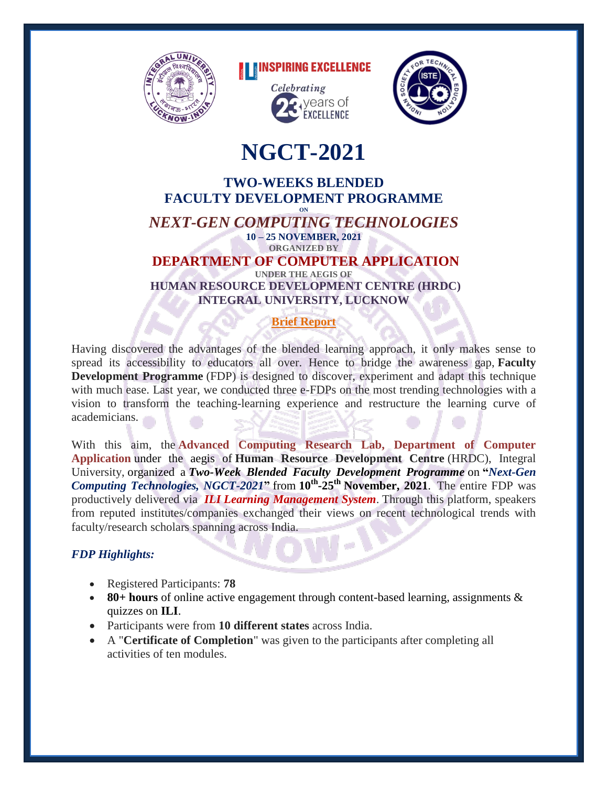

# **THEINSPIRING EXCELLENCE**





# **NGCT-2021**

#### **TWO-WEEKS BLENDED FACULTY DEVELOPMENT PROGRAMME ON** *NEXT-GEN COMPUTING TECHNOLOGIES* **10 – 25 NOVEMBER, 2021 ORGANIZED BY DEPARTMENT OF COMPUTER APPLICATION UNDER THE AEGIS OF**

**HUMAN RESOURCE DEVELOPMENT CENTRE (HRDC) INTEGRAL UNIVERSITY, LUCKNOW**

# **Brief Report**

Having discovered the advantages of the blended learning approach, it only makes sense to spread its accessibility to educators all over. Hence to bridge the awareness gap, **Faculty Development Programme** (FDP) is designed to discover, experiment and adapt this technique with much ease. Last year, we conducted three e-FDPs on the most trending technologies with a vision to transform the teaching-learning experience and restructure the learning curve of academicians.

With this aim, the **Advanced Computing Research Lab, Department of Computer Application** under the aegis of **Human Resource Development Centre** (HRDC), Integral University, organized a *Two-Week Blended Faculty Development Programme* on **"***Next-Gen Computing Technologies, NGCT-2021***"** from **10th -25th November, 2021**. The entire FDP was productively delivered via *ILI Learning Management System*. Through this platform, speakers from reputed institutes/companies exchanged their views on recent technological trends with faculty/research scholars spanning across India.

## *FDP Highlights:*

- Registered Participants: **78**
- **80+ hours** of online active engagement through content-based learning, assignments & quizzes on **ILI**.
- Participants were from **10 different states** across India.
- A "**Certificate of Completion**" was given to the participants after completing all activities of ten modules.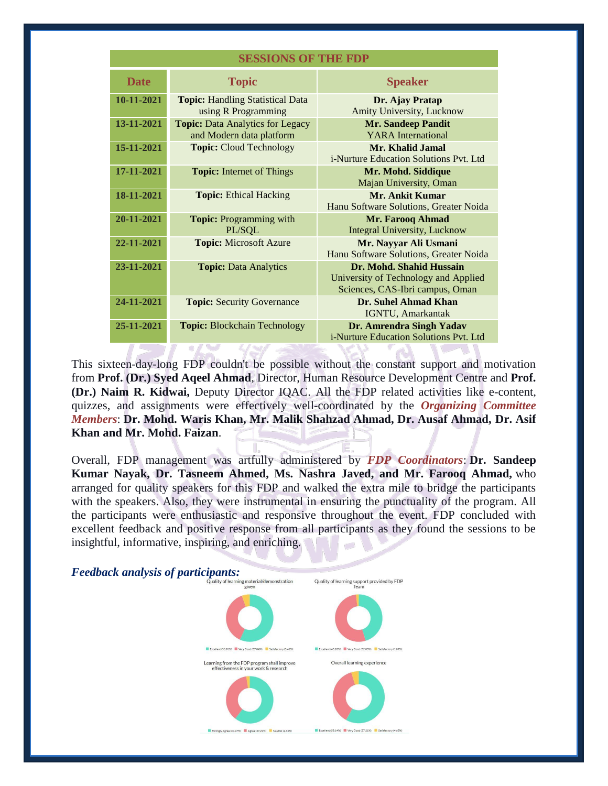| <b>SESSIONS OF THE FDP</b> |  |  |
|----------------------------|--|--|
|----------------------------|--|--|

| <b>Date</b> | <b>Topic</b>                                                        | <b>Speaker</b>                                                                                      |
|-------------|---------------------------------------------------------------------|-----------------------------------------------------------------------------------------------------|
| 10-11-2021  | <b>Topic:</b> Handling Statistical Data<br>using R Programming      | Dr. Ajay Pratap<br>Amity University, Lucknow                                                        |
| 13-11-2021  | <b>Topic:</b> Data Analytics for Legacy<br>and Modern data platform | <b>Mr. Sandeep Pandit</b><br><b>YARA</b> International                                              |
| 15-11-2021  | <b>Topic: Cloud Technology</b>                                      | Mr. Khalid Jamal<br><i>i</i> -Nurture Education Solutions Pyt. Ltd                                  |
| 17-11-2021  | <b>Topic:</b> Internet of Things                                    | Mr. Mohd. Siddique<br>Majan University, Oman                                                        |
| 18-11-2021  | <b>Topic: Ethical Hacking</b>                                       | Mr. Ankit Kumar<br>Hanu Software Solutions, Greater Noida                                           |
| 20-11-2021  | <b>Topic: Programming with</b><br>PL/SQL                            | Mr. Farooq Ahmad<br><b>Integral University, Lucknow</b>                                             |
| 22-11-2021  | <b>Topic:</b> Microsoft Azure                                       | Mr. Nayyar Ali Usmani<br>Hanu Software Solutions, Greater Noida                                     |
| 23-11-2021  | <b>Topic: Data Analytics</b>                                        | Dr. Mohd. Shahid Hussain<br>University of Technology and Applied<br>Sciences, CAS-Ibri campus, Oman |
| 24-11-2021  | <b>Topic: Security Governance</b>                                   | Dr. Suhel Ahmad Khan<br>IGNTU, Amarkantak                                                           |
| 25-11-2021  | <b>Topic: Blockchain Technology</b>                                 | Dr. Amrendra Singh Yadav<br><i>i</i> -Nurture Education Solutions Pyt. Ltd                          |

This sixteen-day-long FDP couldn't be possible without the constant support and motivation from **Prof. (Dr.) Syed Aqeel Ahmad**, Director, Human Resource Development Centre and **Prof. (Dr.) Naim R. Kidwai,** Deputy Director IQAC. All the FDP related activities like e-content, quizzes, and assignments were effectively well-coordinated by the *Organizing Committee Members*: **Dr. Mohd. Waris Khan, Mr. Malik Shahzad Ahmad, Dr. Ausaf Ahmad, Dr. Asif Khan and Mr. Mohd. Faizan**.

Overall, FDP management was artfully administered by *FDP Coordinators*: **Dr. Sandeep Kumar Nayak, Dr. Tasneem Ahmed, Ms. Nashra Javed, and Mr. Farooq Ahmad,** who arranged for quality speakers for this FDP and walked the extra mile to bridge the participants with the speakers. Also, they were instrumental in ensuring the punctuality of the program. All the participants were enthusiastic and responsive throughout the event. FDP concluded with excellent feedback and positive response from all participants as they found the sessions to be insightful, informative, inspiring, and enriching.